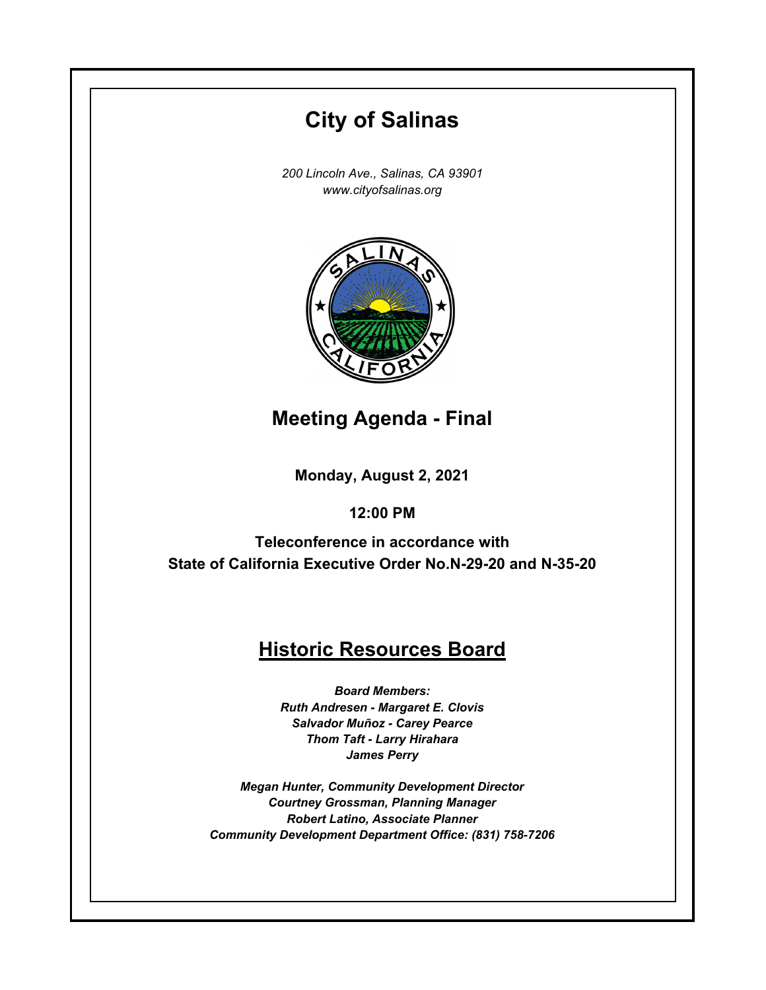# **Monday, August 2, 2021 12:00 PM City of Salinas** *200 Lincoln Ave., Salinas, CA 93901 www.cityofsalinas.org* **Historic Resources Board** *Board Members: Ruth Andresen - Margaret E. Clovis Salvador Muñoz - Carey Pearce Thom Taft - Larry Hirahara James Perry Megan Hunter, Community Development Director Courtney Grossman, Planning Manager Robert Latino, Associate Planner Community Development Department Office: (831) 758-7206* **Meeting Agenda - Final Teleconference in accordance with State of California Executive Order No.N-29-20 and N-35-20**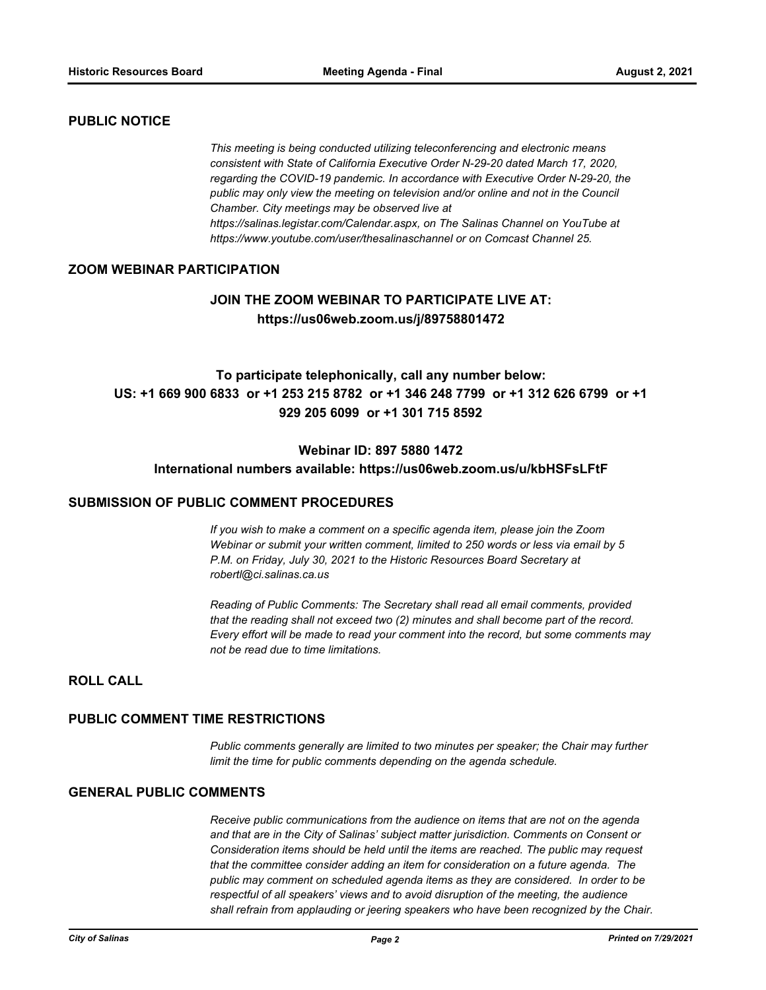## **PUBLIC NOTICE**

*This meeting is being conducted utilizing teleconferencing and electronic means consistent with State of California Executive Order N-29-20 dated March 17, 2020, regarding the COVID-19 pandemic. In accordance with Executive Order N-29-20, the public may only view the meeting on television and/or online and not in the Council Chamber. City meetings may be observed live at https://salinas.legistar.com/Calendar.aspx, on The Salinas Channel on YouTube at https://www.youtube.com/user/thesalinaschannel or on Comcast Channel 25.*

## **ZOOM WEBINAR PARTICIPATION**

# **JOIN THE ZOOM WEBINAR TO PARTICIPATE LIVE AT: https://us06web.zoom.us/j/89758801472**

# **To participate telephonically, call any number below: US: +1 669 900 6833 or +1 253 215 8782 or +1 346 248 7799 or +1 312 626 6799 or +1 929 205 6099 or +1 301 715 8592**

## **Webinar ID: 897 5880 1472**

#### **International numbers available: https://us06web.zoom.us/u/kbHSFsLFtF**

#### **SUBMISSION OF PUBLIC COMMENT PROCEDURES**

*If you wish to make a comment on a specific agenda item, please join the Zoom Webinar or submit your written comment, limited to 250 words or less via email by 5 P.M. on Friday, July 30, 2021 to the Historic Resources Board Secretary at robertl@ci.salinas.ca.us*

*Reading of Public Comments: The Secretary shall read all email comments, provided that the reading shall not exceed two (2) minutes and shall become part of the record. Every effort will be made to read your comment into the record, but some comments may not be read due to time limitations.*

# **ROLL CALL**

#### **PUBLIC COMMENT TIME RESTRICTIONS**

*Public comments generally are limited to two minutes per speaker; the Chair may further limit the time for public comments depending on the agenda schedule.*

#### **GENERAL PUBLIC COMMENTS**

*Receive public communications from the audience on items that are not on the agenda and that are in the City of Salinas' subject matter jurisdiction. Comments on Consent or Consideration items should be held until the items are reached. The public may request that the committee consider adding an item for consideration on a future agenda. The public may comment on scheduled agenda items as they are considered. In order to be respectful of all speakers' views and to avoid disruption of the meeting, the audience shall refrain from applauding or jeering speakers who have been recognized by the Chair.*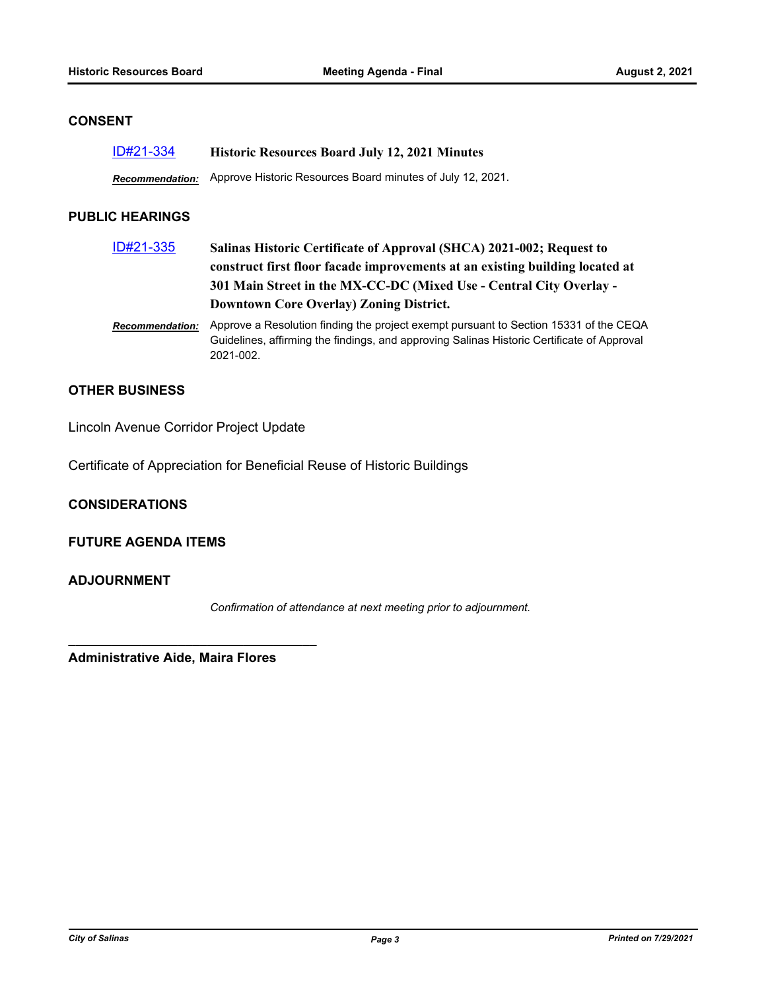# **CONSENT**

| ID#21-334 | <b>Historic Resources Board July 12, 2021 Minutes</b>                      |
|-----------|----------------------------------------------------------------------------|
|           | Recommendation: Approve Historic Resources Board minutes of July 12, 2021. |

# **PUBLIC HEARINGS**

| ID#21-335              | Salinas Historic Certificate of Approval (SHCA) 2021-002; Request to<br>construct first floor facade improvements at an existing building located at<br>301 Main Street in the MX-CC-DC (Mixed Use - Central City Overlay -<br><b>Downtown Core Overlay) Zoning District.</b> |
|------------------------|-------------------------------------------------------------------------------------------------------------------------------------------------------------------------------------------------------------------------------------------------------------------------------|
| <b>Recommendation:</b> | Approve a Resolution finding the project exempt pursuant to Section 15331 of the CEQA<br>Guidelines, affirming the findings, and approving Salinas Historic Certificate of Approval<br>2021-002.                                                                              |

## **OTHER BUSINESS**

Lincoln Avenue Corridor Project Update

Certificate of Appreciation for Beneficial Reuse of Historic Buildings

**CONSIDERATIONS**

# **FUTURE AGENDA ITEMS**

# **ADJOURNMENT**

*Confirmation of attendance at next meeting prior to adjournment.*

**Administrative Aide, Maira Flores**

**\_\_\_\_\_\_\_\_\_\_\_\_\_\_\_\_\_\_\_\_\_\_\_\_\_\_\_\_\_\_\_\_\_\_**